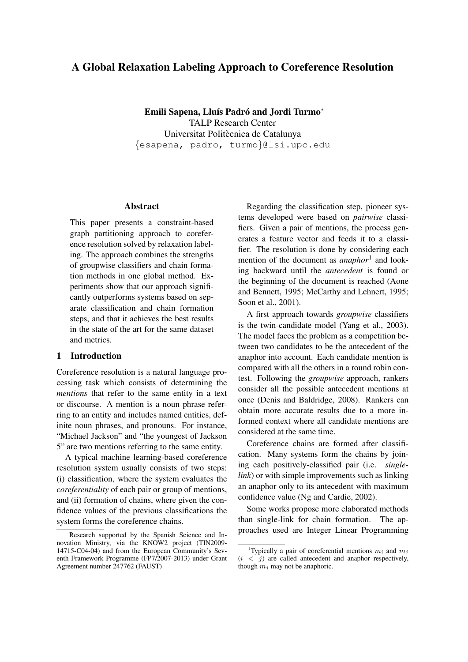# A Global Relaxation Labeling Approach to Coreference Resolution

Emili Sapena, Lluís Padró and Jordi Turmo\* TALP Research Center Universitat Politècnica de Catalunya {esapena, padro, turmo}@lsi.upc.edu

## Abstract

This paper presents a constraint-based graph partitioning approach to coreference resolution solved by relaxation labeling. The approach combines the strengths of groupwise classifiers and chain formation methods in one global method. Experiments show that our approach significantly outperforms systems based on separate classification and chain formation steps, and that it achieves the best results in the state of the art for the same dataset and metrics.

## 1 Introduction

Coreference resolution is a natural language processing task which consists of determining the *mentions* that refer to the same entity in a text or discourse. A mention is a noun phrase referring to an entity and includes named entities, definite noun phrases, and pronouns. For instance, "Michael Jackson" and "the youngest of Jackson 5" are two mentions referring to the same entity.

A typical machine learning-based coreference resolution system usually consists of two steps: (i) classification, where the system evaluates the *coreferentiality* of each pair or group of mentions, and (ii) formation of chains, where given the confidence values of the previous classifications the system forms the coreference chains.

Regarding the classification step, pioneer systems developed were based on *pairwise* classifiers. Given a pair of mentions, the process generates a feature vector and feeds it to a classifier. The resolution is done by considering each mention of the document as *anaphor*<sup>1</sup> and looking backward until the *antecedent* is found or the beginning of the document is reached (Aone and Bennett, 1995; McCarthy and Lehnert, 1995; Soon et al., 2001).

A first approach towards *groupwise* classifiers is the twin-candidate model (Yang et al., 2003). The model faces the problem as a competition between two candidates to be the antecedent of the anaphor into account. Each candidate mention is compared with all the others in a round robin contest. Following the *groupwise* approach, rankers consider all the possible antecedent mentions at once (Denis and Baldridge, 2008). Rankers can obtain more accurate results due to a more informed context where all candidate mentions are considered at the same time.

Coreference chains are formed after classification. Many systems form the chains by joining each positively-classified pair (i.e. *singlelink*) or with simple improvements such as linking an anaphor only to its antecedent with maximum confidence value (Ng and Cardie, 2002).

Some works propose more elaborated methods than single-link for chain formation. The approaches used are Integer Linear Programming

Research supported by the Spanish Science and Innovation Ministry, via the KNOW2 project (TIN2009- 14715-C04-04) and from the European Community's Seventh Framework Programme (FP7/2007-2013) under Grant Agreement number 247762 (FAUST)

<sup>&</sup>lt;sup>1</sup>Typically a pair of coreferential mentions  $m_i$  and  $m_j$  $(i < i)$  are called antecedent and anaphor respectively. though  $m_i$  may not be anaphoric.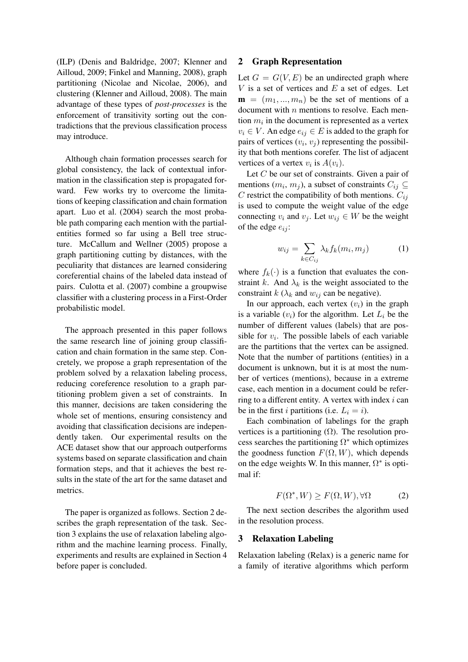(ILP) (Denis and Baldridge, 2007; Klenner and Ailloud, 2009; Finkel and Manning, 2008), graph partitioning (Nicolae and Nicolae, 2006), and clustering (Klenner and Ailloud, 2008). The main advantage of these types of *post-processes* is the enforcement of transitivity sorting out the contradictions that the previous classification process may introduce.

Although chain formation processes search for global consistency, the lack of contextual information in the classification step is propagated forward. Few works try to overcome the limitations of keeping classification and chain formation apart. Luo et al. (2004) search the most probable path comparing each mention with the partialentities formed so far using a Bell tree structure. McCallum and Wellner (2005) propose a graph partitioning cutting by distances, with the peculiarity that distances are learned considering coreferential chains of the labeled data instead of pairs. Culotta et al. (2007) combine a groupwise classifier with a clustering process in a First-Order probabilistic model.

The approach presented in this paper follows the same research line of joining group classification and chain formation in the same step. Concretely, we propose a graph representation of the problem solved by a relaxation labeling process, reducing coreference resolution to a graph partitioning problem given a set of constraints. In this manner, decisions are taken considering the whole set of mentions, ensuring consistency and avoiding that classification decisions are independently taken. Our experimental results on the ACE dataset show that our approach outperforms systems based on separate classification and chain formation steps, and that it achieves the best results in the state of the art for the same dataset and metrics.

The paper is organized as follows. Section 2 describes the graph representation of the task. Section 3 explains the use of relaxation labeling algorithm and the machine learning process. Finally, experiments and results are explained in Section 4 before paper is concluded.

#### 2 Graph Representation

Let  $G = G(V, E)$  be an undirected graph where  $V$  is a set of vertices and  $E$  a set of edges. Let  $\mathbf{m} = (m_1, ..., m_n)$  be the set of mentions of a document with  $n$  mentions to resolve. Each mention  $m_i$  in the document is represented as a vertex  $v_i \in V$ . An edge  $e_{ij} \in E$  is added to the graph for pairs of vertices  $(v_i, v_j)$  representing the possibility that both mentions corefer. The list of adjacent vertices of a vertex  $v_i$  is  $A(v_i)$ .

Let C be our set of constraints. Given a pair of mentions  $(m_i, m_j)$ , a subset of constraints  $C_{ij} \subseteq$ C restrict the compatibility of both mentions.  $C_{ij}$ is used to compute the weight value of the edge connecting  $v_i$  and  $v_j$ . Let  $w_{ij} \in W$  be the weight of the edge  $e_{ij}$ :

$$
w_{ij} = \sum_{k \in C_{ij}} \lambda_k f_k(m_i, m_j)
$$
 (1)

where  $f_k(\cdot)$  is a function that evaluates the constraint k. And  $\lambda_k$  is the weight associated to the constraint  $k$  ( $\lambda_k$  and  $w_{ij}$  can be negative).

In our approach, each vertex  $(v_i)$  in the graph is a variable  $(v_i)$  for the algorithm. Let  $L_i$  be the number of different values (labels) that are possible for  $v_i$ . The possible labels of each variable are the partitions that the vertex can be assigned. Note that the number of partitions (entities) in a document is unknown, but it is at most the number of vertices (mentions), because in a extreme case, each mention in a document could be referring to a different entity. A vertex with index  $i$  can be in the first i partitions (i.e.  $L_i = i$ ).

Each combination of labelings for the graph vertices is a partitioning  $(Ω)$ . The resolution process searches the partitioning  $\Omega^*$  which optimizes the goodness function  $F(\Omega, W)$ , which depends on the edge weights W. In this manner,  $\Omega^*$  is optimal if:

$$
F(\Omega^*, W) \ge F(\Omega, W), \forall \Omega \tag{2}
$$

The next section describes the algorithm used in the resolution process.

#### 3 Relaxation Labeling

Relaxation labeling (Relax) is a generic name for a family of iterative algorithms which perform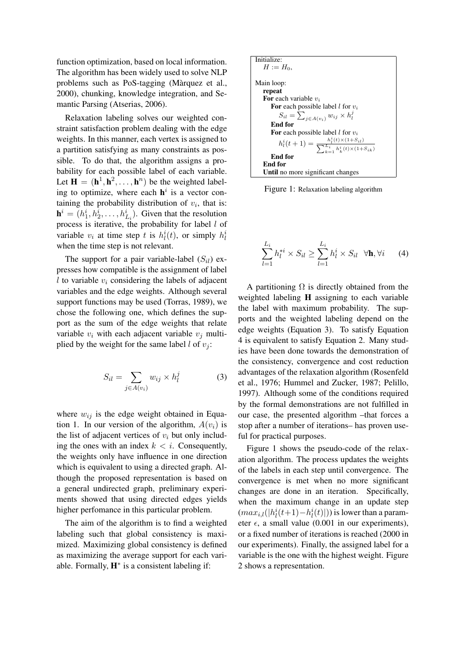function optimization, based on local information. The algorithm has been widely used to solve NLP problems such as PoS-tagging (Marquez et al., ` 2000), chunking, knowledge integration, and Semantic Parsing (Atserias, 2006).

Relaxation labeling solves our weighted constraint satisfaction problem dealing with the edge weights. In this manner, each vertex is assigned to a partition satisfying as many constraints as possible. To do that, the algorithm assigns a probability for each possible label of each variable. Let  $\mathbf{H} = (\mathbf{h}^1, \mathbf{h}^2, \dots, \mathbf{h}^n)$  be the weighted labeling to optimize, where each  $h^i$  is a vector containing the probability distribution of  $v_i$ , that is:  $\mathbf{h}^i = (h_1^i, h_2^i, \dots, h_{L_i}^i)$ . Given that the resolution process is iterative, the probability for label l of variable  $v_i$  at time step t is  $h_l^i(t)$ , or simply  $h_l^i$ when the time step is not relevant.

The support for a pair variable-label  $(S_{il})$  expresses how compatible is the assignment of label l to variable  $v_i$  considering the labels of adjacent variables and the edge weights. Although several support functions may be used (Torras, 1989), we chose the following one, which defines the support as the sum of the edge weights that relate variable  $v_i$  with each adjacent variable  $v_j$  multiplied by the weight for the same label  $l$  of  $v_i$ :

$$
S_{il} = \sum_{j \in A(v_i)} w_{ij} \times h_l^j \tag{3}
$$

where  $w_{ij}$  is the edge weight obtained in Equation 1. In our version of the algorithm,  $A(v_i)$  is the list of adjacent vertices of  $v_i$  but only including the ones with an index  $k < i$ . Consequently, the weights only have influence in one direction which is equivalent to using a directed graph. Although the proposed representation is based on a general undirected graph, preliminary experiments showed that using directed edges yields higher perfomance in this particular problem.

The aim of the algorithm is to find a weighted labeling such that global consistency is maximized. Maximizing global consistency is defined as maximizing the average support for each variable. Formally,  $H^*$  is a consistent labeling if:



Figure 1: Relaxation labeling algorithm

$$
\sum_{l=1}^{L_i} h_l^{*i} \times S_{il} \ge \sum_{l=1}^{L_i} h_l^i \times S_{il} \quad \forall \mathbf{h}, \forall i \qquad (4)
$$

A partitioning  $\Omega$  is directly obtained from the weighted labeling H assigning to each variable the label with maximum probability. The supports and the weighted labeling depend on the edge weights (Equation 3). To satisfy Equation 4 is equivalent to satisfy Equation 2. Many studies have been done towards the demonstration of the consistency, convergence and cost reduction advantages of the relaxation algorithm (Rosenfeld et al., 1976; Hummel and Zucker, 1987; Pelillo, 1997). Although some of the conditions required by the formal demonstrations are not fulfilled in our case, the presented algorithm –that forces a stop after a number of iterations– has proven useful for practical purposes.

Figure 1 shows the pseudo-code of the relaxation algorithm. The process updates the weights of the labels in each step until convergence. The convergence is met when no more significant changes are done in an iteration. Specifically, when the maximum change in an update step  $(max_{i,l}(|h_l^i(t+1)-h_l^i(t)|))$  is lower than a parameter  $\epsilon$ , a small value (0.001 in our experiments), or a fixed number of iterations is reached (2000 in our experiments). Finally, the assigned label for a variable is the one with the highest weight. Figure 2 shows a representation.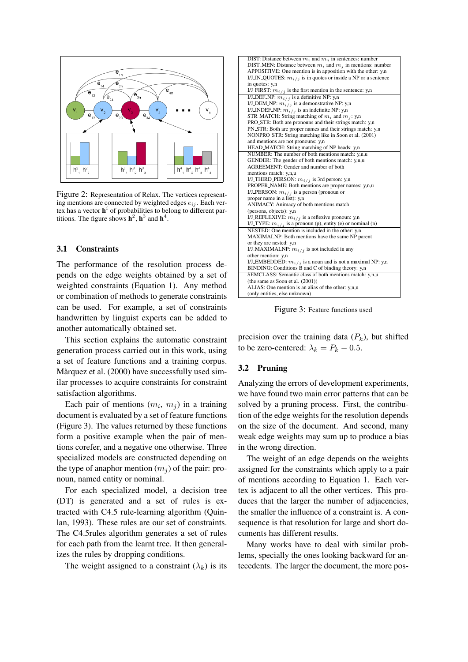

Figure 2: Representation of Relax. The vertices representing mentions are connected by weighted edges  $e_{ij}$ . Each vertex has a vector  $h^i$  of probabilities to belong to different partitions. The figure shows  $h^2$ ,  $h^3$  and  $h^4$ .

#### 3.1 Constraints

The performance of the resolution process depends on the edge weights obtained by a set of weighted constraints (Equation 1). Any method or combination of methods to generate constraints can be used. For example, a set of constraints handwritten by linguist experts can be added to another automatically obtained set.

This section explains the automatic constraint generation process carried out in this work, using a set of feature functions and a training corpus. Màrquez et al. (2000) have successfully used similar processes to acquire constraints for constraint satisfaction algorithms.

Each pair of mentions  $(m_i, m_j)$  in a training document is evaluated by a set of feature functions (Figure 3). The values returned by these functions form a positive example when the pair of mentions corefer, and a negative one otherwise. Three specialized models are constructed depending on the type of anaphor mention  $(m_i)$  of the pair: pronoun, named entity or nominal.

For each specialized model, a decision tree (DT) is generated and a set of rules is extracted with C4.5 rule-learning algorithm (Quinlan, 1993). These rules are our set of constraints. The C4.5rules algorithm generates a set of rules for each path from the learnt tree. It then generalizes the rules by dropping conditions.

The weight assigned to a constraint  $(\lambda_k)$  is its



Figure 3: Feature functions used

precision over the training data  $(P_k)$ , but shifted to be zero-centered:  $\lambda_k = P_k - 0.5$ .

## 3.2 Pruning

Analyzing the errors of development experiments, we have found two main error patterns that can be solved by a pruning process. First, the contribution of the edge weights for the resolution depends on the size of the document. And second, many weak edge weights may sum up to produce a bias in the wrong direction.

The weight of an edge depends on the weights assigned for the constraints which apply to a pair of mentions according to Equation 1. Each vertex is adjacent to all the other vertices. This produces that the larger the number of adjacencies, the smaller the influence of a constraint is. A consequence is that resolution for large and short documents has different results.

Many works have to deal with similar problems, specially the ones looking backward for antecedents. The larger the document, the more pos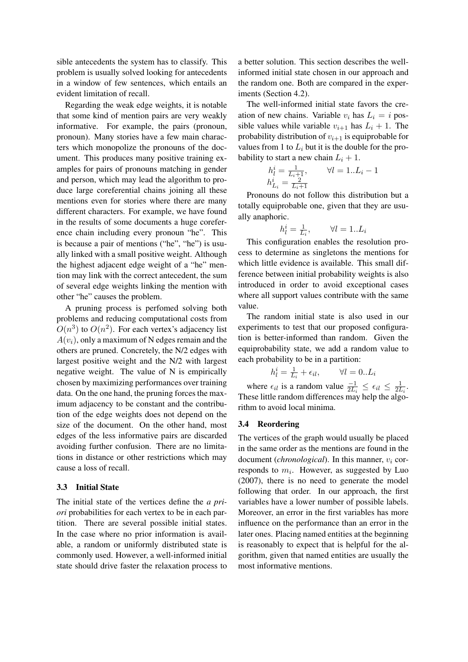sible antecedents the system has to classify. This problem is usually solved looking for antecedents in a window of few sentences, which entails an evident limitation of recall.

Regarding the weak edge weights, it is notable that some kind of mention pairs are very weakly informative. For example, the pairs (pronoun, pronoun). Many stories have a few main characters which monopolize the pronouns of the document. This produces many positive training examples for pairs of pronouns matching in gender and person, which may lead the algorithm to produce large coreferential chains joining all these mentions even for stories where there are many different characters. For example, we have found in the results of some documents a huge coreference chain including every pronoun "he". This is because a pair of mentions ("he", "he") is usually linked with a small positive weight. Although the highest adjacent edge weight of a "he" mention may link with the correct antecedent, the sum of several edge weights linking the mention with other "he" causes the problem.

A pruning process is perfomed solving both problems and reducing computational costs from  $O(n^3)$  to  $O(n^2)$ . For each vertex's adjacency list  $A(v_i)$ , only a maximum of N edges remain and the others are pruned. Concretely, the N/2 edges with largest positive weight and the N/2 with largest negative weight. The value of N is empirically chosen by maximizing performances over training data. On the one hand, the pruning forces the maximum adjacency to be constant and the contribution of the edge weights does not depend on the size of the document. On the other hand, most edges of the less informative pairs are discarded avoiding further confusion. There are no limitations in distance or other restrictions which may cause a loss of recall.

## 3.3 Initial State

The initial state of the vertices define the *a priori* probabilities for each vertex to be in each partition. There are several possible initial states. In the case where no prior information is available, a random or uniformly distributed state is commonly used. However, a well-informed initial state should drive faster the relaxation process to a better solution. This section describes the wellinformed initial state chosen in our approach and the random one. Both are compared in the experiments (Section 4.2).

The well-informed initial state favors the creation of new chains. Variable  $v_i$  has  $L_i = i$  possible values while variable  $v_{i+1}$  has  $L_i + 1$ . The probability distribution of  $v_{i+1}$  is equiprobable for values from 1 to  $L_i$  but it is the double for the probability to start a new chain  $L_i + 1$ .

$$
h_l^i = \frac{1}{L_i + 1}, \qquad \forall l = 1...L_i - 1
$$
  

$$
h_{L_i}^i = \frac{2}{L_i + 1}
$$

Pronouns do not follow this distribution but a totally equiprobable one, given that they are usually anaphoric.

$$
h_l^i = \frac{1}{L_i}, \qquad \forall l = 1..L_i
$$

This configuration enables the resolution process to determine as singletons the mentions for which little evidence is available. This small difference between initial probability weights is also introduced in order to avoid exceptional cases where all support values contribute with the same value.

The random initial state is also used in our experiments to test that our proposed configuration is better-informed than random. Given the equiprobability state, we add a random value to each probability to be in a partition:

$$
h_l^i = \frac{1}{L_i} + \epsilon_{il}, \qquad \forall l = 0..L_i
$$

where  $\epsilon_{il}$  is a random value  $\frac{-1}{2L_i} \leq \epsilon_{il} \leq \frac{1}{2L_i}$  $\frac{1}{2L_i}$ . These little random differences may help the algorithm to avoid local minima.

#### 3.4 Reordering

The vertices of the graph would usually be placed in the same order as the mentions are found in the document (*chronological*). In this manner,  $v_i$  corresponds to  $m_i$ . However, as suggested by Luo (2007), there is no need to generate the model following that order. In our approach, the first variables have a lower number of possible labels. Moreover, an error in the first variables has more influence on the performance than an error in the later ones. Placing named entities at the beginning is reasonably to expect that is helpful for the algorithm, given that named entities are usually the most informative mentions.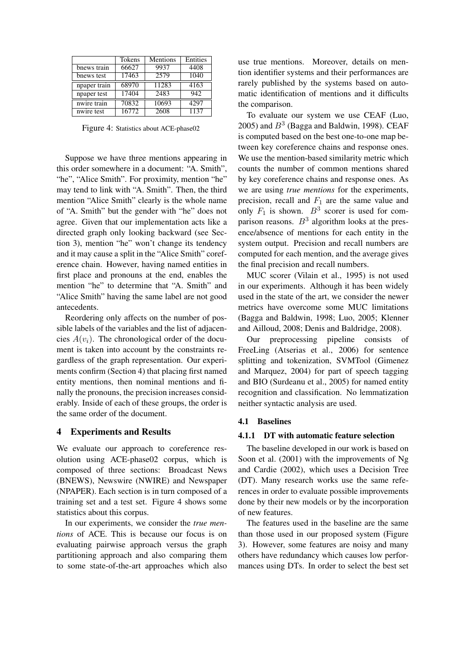|                                | Tokens | Mentions | Entities          |
|--------------------------------|--------|----------|-------------------|
| bnews train                    | 66627  | 9937     | 4408              |
| bnews test                     | 17463  | 2579     | 1040              |
| npaper train                   | 68970  | 11283    | 4163              |
| npaper test                    | 17404  | 2483     | 942               |
| nwire train                    | 70832  | 10693    | 4297              |
| $\overline{\text{nwire}}$ test | 16772  | 2608     | $11\overline{37}$ |

Figure 4: Statistics about ACE-phase02

Suppose we have three mentions appearing in this order somewhere in a document: "A. Smith", "he", "Alice Smith". For proximity, mention "he" may tend to link with "A. Smith". Then, the third mention "Alice Smith" clearly is the whole name of "A. Smith" but the gender with "he" does not agree. Given that our implementation acts like a directed graph only looking backward (see Section 3), mention "he" won't change its tendency and it may cause a split in the "Alice Smith" coreference chain. However, having named entities in first place and pronouns at the end, enables the mention "he" to determine that "A. Smith" and "Alice Smith" having the same label are not good antecedents.

Reordering only affects on the number of possible labels of the variables and the list of adjacencies  $A(v_i)$ . The chronological order of the document is taken into account by the constraints regardless of the graph representation. Our experiments confirm (Section 4) that placing first named entity mentions, then nominal mentions and finally the pronouns, the precision increases considerably. Inside of each of these groups, the order is the same order of the document.

#### 4 Experiments and Results

We evaluate our approach to coreference resolution using ACE-phase02 corpus, which is composed of three sections: Broadcast News (BNEWS), Newswire (NWIRE) and Newspaper (NPAPER). Each section is in turn composed of a training set and a test set. Figure 4 shows some statistics about this corpus.

In our experiments, we consider the *true mentions* of ACE. This is because our focus is on evaluating pairwise approach versus the graph partitioning approach and also comparing them to some state-of-the-art approaches which also

use true mentions. Moreover, details on mention identifier systems and their performances are rarely published by the systems based on automatic identification of mentions and it difficults the comparison.

To evaluate our system we use CEAF (Luo, 2005) and  $B<sup>3</sup>$  (Bagga and Baldwin, 1998). CEAF is computed based on the best one-to-one map between key coreference chains and response ones. We use the mention-based similarity metric which counts the number of common mentions shared by key coreference chains and response ones. As we are using *true mentions* for the experiments, precision, recall and  $F_1$  are the same value and only  $F_1$  is shown.  $B^3$  scorer is used for comparison reasons.  $B<sup>3</sup>$  algorithm looks at the presence/absence of mentions for each entity in the system output. Precision and recall numbers are computed for each mention, and the average gives the final precision and recall numbers.

MUC scorer (Vilain et al., 1995) is not used in our experiments. Although it has been widely used in the state of the art, we consider the newer metrics have overcome some MUC limitations (Bagga and Baldwin, 1998; Luo, 2005; Klenner and Ailloud, 2008; Denis and Baldridge, 2008).

Our preprocessing pipeline consists of FreeLing (Atserias et al., 2006) for sentence splitting and tokenization, SVMTool (Gimenez and Marquez, 2004) for part of speech tagging and BIO (Surdeanu et al., 2005) for named entity recognition and classification. No lemmatization neither syntactic analysis are used.

#### 4.1 Baselines

## 4.1.1 DT with automatic feature selection

The baseline developed in our work is based on Soon et al. (2001) with the improvements of Ng and Cardie (2002), which uses a Decision Tree (DT). Many research works use the same references in order to evaluate possible improvements done by their new models or by the incorporation of new features.

The features used in the baseline are the same than those used in our proposed system (Figure 3). However, some features are noisy and many others have redundancy which causes low performances using DTs. In order to select the best set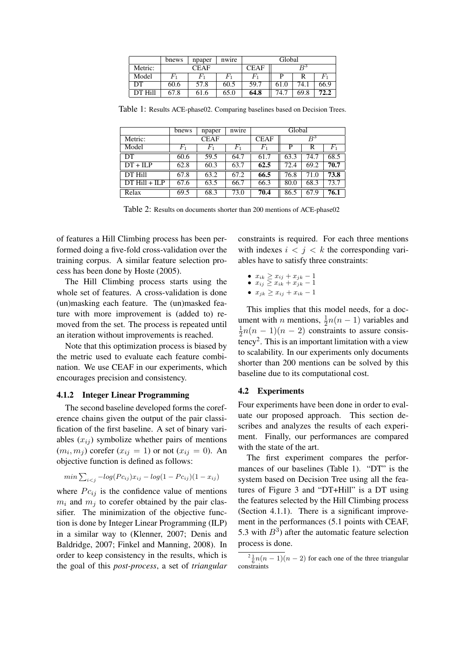|         | bnews          | npaper | nwire | Global      |       |      |          |
|---------|----------------|--------|-------|-------------|-------|------|----------|
| Metric: | CEAF           |        |       | <b>CEAF</b> | $R^3$ |      |          |
| Model   | $\mathbb{F}_1$ |        |       |             | D     |      | $_{F_1}$ |
| DТ      | 60.6           | 57.8   | 60.5  | 59.7        | 61.0  | 74.1 | 66.9     |
|         | 67.8           | 61.6   | 65.0  | 64.8        | 74.7  | 69.8 | 72.2     |

Table 1: Results ACE-phase02. Comparing baselines based on Decision Trees.

|                  | bnews    | npaper         | nwire       | Global             |              |      |       |  |
|------------------|----------|----------------|-------------|--------------------|--------------|------|-------|--|
| Metric:          | CEAF     |                |             | <b>CEAF</b>        | $\, \rm B^3$ |      |       |  |
| Model            | $_{F_1}$ | $\mathit{F}_1$ | $F_{\rm 1}$ | $\scriptstyle F_1$ | P            | R    | $F_1$ |  |
| DT               | 60.6     | 59.5           | 64.7        | 61.7               | 63.3         | 74.7 | 68.5  |  |
| $DT + ILP$       | 62.8     | 60.3           | 63.7        | 62.5               | 72.4         | 69.2 | 70.7  |  |
| <b>DT Hill</b>   | 67.8     | 63.2           | 67.2        | 66.5               | 76.8         | 71.0 | 73.8  |  |
| $DT$ Hill + II P | 67.6     | 63.5           | 66.7        | 66.3               | 80.0         | 68.3 | 73.7  |  |
| Relax            | 69.5     | 68.3           | 73.0        | 70.4               | 86.5         | 67.9 | 76.1  |  |

Table 2: Results on documents shorter than 200 mentions of ACE-phase02

of features a Hill Climbing process has been performed doing a five-fold cross-validation over the training corpus. A similar feature selection process has been done by Hoste (2005).

The Hill Climbing process starts using the whole set of features. A cross-validation is done (un)masking each feature. The (un)masked feature with more improvement is (added to) removed from the set. The process is repeated until an iteration without improvements is reached.

Note that this optimization process is biased by the metric used to evaluate each feature combination. We use CEAF in our experiments, which encourages precision and consistency.

#### 4.1.2 Integer Linear Programming

The second baseline developed forms the coreference chains given the output of the pair classification of the first baseline. A set of binary variables  $(x_{ij})$  symbolize whether pairs of mentions  $(m_i, m_j)$  corefer  $(x_{ij} = 1)$  or not  $(x_{ij} = 0)$ . An objective function is defined as follows:

$$
min \sum_{i < j} -log(Pc_{ij})x_{ij} - log(1 - Pc_{ij})(1 - x_{ij})
$$

where  $P_{c_{ij}}$  is the confidence value of mentions  $m_i$  and  $m_j$  to corefer obtained by the pair classifier. The minimization of the objective function is done by Integer Linear Programming (ILP) in a similar way to (Klenner, 2007; Denis and Baldridge, 2007; Finkel and Manning, 2008). In order to keep consistency in the results, which is the goal of this *post-process*, a set of *triangular* constraints is required. For each three mentions with indexes  $i < j < k$  the corresponding variables have to satisfy three constraints:

- $x_{ik} \geq x_{ij} + x_{jk} 1$ •  $x_{ij} \geq x_{ik} + x_{jk} - 1$
- $x_{ik} \ge x_{ij} + x_{ik} 1$

This implies that this model needs, for a document with *n* mentions,  $\frac{1}{2}n(n-1)$  variables and 1  $\frac{1}{2}n(n-1)(n-2)$  constraints to assure consistency<sup>2</sup> . This is an important limitation with a view to scalability. In our experiments only documents shorter than 200 mentions can be solved by this baseline due to its computational cost.

### 4.2 Experiments

Four experiments have been done in order to evaluate our proposed approach. This section describes and analyzes the results of each experiment. Finally, our performances are compared with the state of the art.

The first experiment compares the performances of our baselines (Table 1). "DT" is the system based on Decision Tree using all the features of Figure 3 and "DT+Hill" is a DT using the features selected by the Hill Climbing process (Section 4.1.1). There is a significant improvement in the performances (5.1 points with CEAF, 5.3 with  $B<sup>3</sup>$ ) after the automatic feature selection process is done.

 $\frac{2}{6}n(n-1)(n-2)$  for each one of the three triangular constraints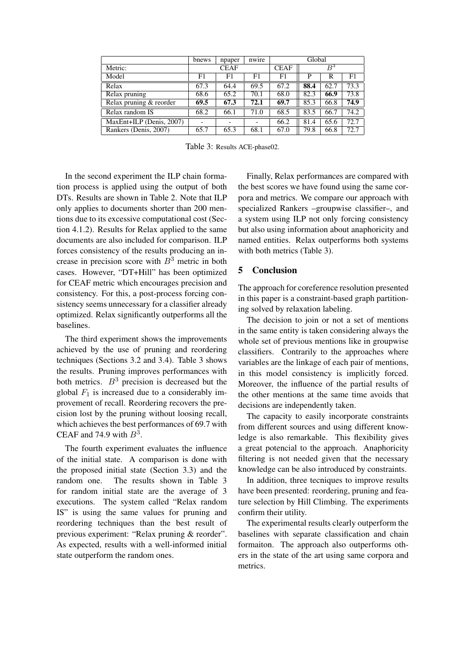|                          | bnews       | npaper | Global |             |       |      |      |
|--------------------------|-------------|--------|--------|-------------|-------|------|------|
| Metric:                  | <b>CEAF</b> |        |        | <b>CEAF</b> | $B^3$ |      |      |
| Model                    | F1          | F1     | F1     | F1          | P     | R    | F1   |
| Relax                    | 67.3        | 64.4   | 69.5   | 67.2        | 88.4  | 62.7 | 73.3 |
| Relax pruning            | 68.6        | 65.2   | 70.1   | 68.0        | 82.3  | 66.9 | 73.8 |
| Relax pruning & reorder  | 69.5        | 67.3   | 72.1   | 69.7        | 85.3  | 66.8 | 74.9 |
| Relax random IS          | 68.2        | 66.1   | 71.0   | 68.5        | 83.5  | 66.7 | 74.2 |
| MaxEnt+ILP (Denis, 2007) |             |        |        | 66.2        | 81.4  | 65.6 | 72.7 |
| Rankers (Denis, 2007)    | 65.7        | 65.3   | 68.1   | 67.0        | 79.8  | 66.8 | 72.7 |

Table 3: Results ACE-phase02.

In the second experiment the ILP chain formation process is applied using the output of both DTs. Results are shown in Table 2. Note that ILP only applies to documents shorter than 200 mentions due to its excessive computational cost (Section 4.1.2). Results for Relax applied to the same documents are also included for comparison. ILP forces consistency of the results producing an increase in precision score with  $B<sup>3</sup>$  metric in both cases. However, "DT+Hill" has been optimized for CEAF metric which encourages precision and consistency. For this, a post-process forcing consistency seems unnecessary for a classifier already optimized. Relax significantly outperforms all the baselines.

The third experiment shows the improvements achieved by the use of pruning and reordering techniques (Sections 3.2 and 3.4). Table 3 shows the results. Pruning improves performances with both metrics.  $B<sup>3</sup>$  precision is decreased but the global  $F_1$  is increased due to a considerably improvement of recall. Reordering recovers the precision lost by the pruning without loosing recall, which achieves the best performances of 69.7 with CEAF and 74.9 with  $B^3$ .

The fourth experiment evaluates the influence of the initial state. A comparison is done with the proposed initial state (Section 3.3) and the random one. The results shown in Table 3 for random initial state are the average of 3 executions. The system called "Relax random IS" is using the same values for pruning and reordering techniques than the best result of previous experiment: "Relax pruning & reorder". As expected, results with a well-informed initial state outperform the random ones.

Finally, Relax performances are compared with the best scores we have found using the same corpora and metrics. We compare our approach with specialized Rankers –groupwise classifier–, and a system using ILP not only forcing consistency but also using information about anaphoricity and named entities. Relax outperforms both systems with both metrics (Table 3).

## 5 Conclusion

The approach for coreference resolution presented in this paper is a constraint-based graph partitioning solved by relaxation labeling.

The decision to join or not a set of mentions in the same entity is taken considering always the whole set of previous mentions like in groupwise classifiers. Contrarily to the approaches where variables are the linkage of each pair of mentions, in this model consistency is implicitly forced. Moreover, the influence of the partial results of the other mentions at the same time avoids that decisions are independently taken.

The capacity to easily incorporate constraints from different sources and using different knowledge is also remarkable. This flexibility gives a great potencial to the approach. Anaphoricity filtering is not needed given that the necessary knowledge can be also introduced by constraints.

In addition, three tecniques to improve results have been presented: reordering, pruning and feature selection by Hill Climbing. The experiments confirm their utility.

The experimental results clearly outperform the baselines with separate classification and chain formaiton. The approach also outperforms others in the state of the art using same corpora and metrics.